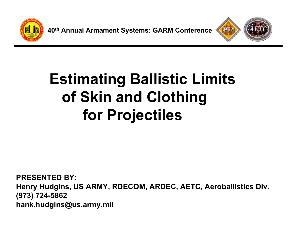

**40th Annual Armament Systems: GARM Conference**



## **Estimating Ballistic Limits of Skin and Clothing for Projectiles**

**PRESENTED BY:Henry Hudgins, US ARMY, RDECOM, ARDEC, AETC, Aeroballistics Div. (973) 724-5862 hank.hudgins@us.army.mil**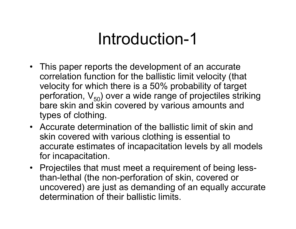## Introduction-1

- This paper reports the development of an accurate correlation function for the ballistic limit velocity (that velocity for which there is a 50% probability of target perforation,  $V_{50}$ ) over a wide range of projectiles striking bare skin and skin covered by various amounts and types of clothing.
- Accurate determination of the ballistic limit of skin and skin covered with various clothing is essential to accurate estimates of incapacitation levels by all models for incapacitation.
- Projectiles that must meet a requirement of being lessthan-lethal (the non-perforation of skin, covered or uncovered) are just as demanding of an equally accurate determination of their ballistic limits.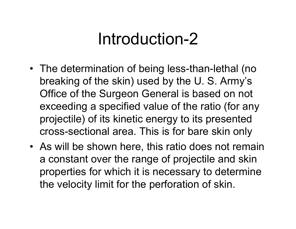## Introduction-2

- The determination of being less-than-lethal (no breaking of the skin) used by the U. S. Army's Office of the Surgeon General is based on not exceeding a specified value of the ratio (for any projectile) of its kinetic energy to its presented cross-sectional area. This is for bare skin only
- As will be shown here, this ratio does not remain a constant over the range of projectile and skin properties for which it is necessary to determine the velocity limit for the perforation of skin.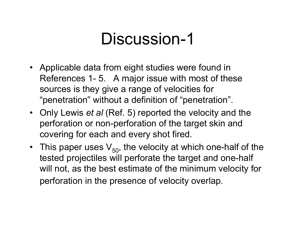- Applicable data from eight studies were found in References 1- 5. A major issue with most of these sources is they give a range of velocities for "penetration" without a definition of "penetration".
- Only Lewis *et al* (Ref. 5) reported the velocity and the perforation or non-perforation of the target skin and covering for each and every shot fired.
- This paper uses  $\mathsf{V}_{50}$ , the velocity at which one-half of the tested projectiles will perforate the target and one-half will not, as the best estimate of the minimum velocity for perforation in the presence of velocity overlap.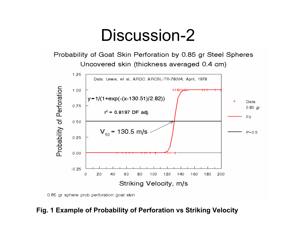Probability of Goat Skin Perforation by 0.85 gr Steel Spheres Uncovered skin (thickness averaged 0.4 cm)



0.85 gr sphere prob perforation goat skin

#### **Fig. 1 Example of Probability of Perforation vs Striking Velocity**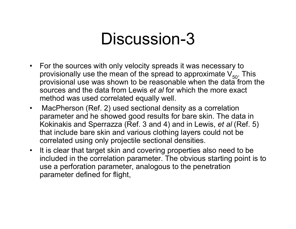- For the sources with only velocity spreads it was necessary to provisionally use the mean of the spread to approximate  $V_{50}$ . This provisional use was shown to be reasonable when the data from the sources and the data from Lewis *et al* for which the more exact method was used correlated equally well.
- $\bullet$  MacPherson (Ref. 2) used sectional density as a correlation parameter and he showed good results for bare skin. The data in Kokinakis and Sperrazza (Ref. 3 and 4) and in Lewis, *et al* (Ref. 5) that include bare skin and various clothing layers could not be correlated using only projectile sectional densities.
- It is clear that target skin and covering properties also need to be included in the correlation parameter. The obvious starting point is to use a perforation parameter, analogous to the penetration parameter defined for flight,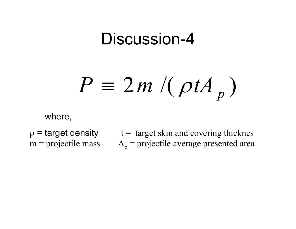#### $2 m$  /(  $\rho t A_{n}$  ) *p P* ≡ *m* ρ*tA*

where,

 $m =$  projectile mass

 $p =$  target density  $t =$  target skin and covering thicknes  $A_p$  = projectile average presented area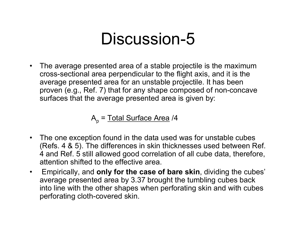$\bullet$  The average presented area of a stable projectile is the maximum cross-sectional area perpendicular to the flight axis, and it is the average presented area for an unstable projectile. It has been proven (e.g., Ref. 7) that for any shape composed of non-concave surfaces that the average presented area is given by:

A<sub>p</sub> = <u>Total Surface Area</u> /4

- The one exception found in the data used was for unstable cubes (Refs. 4 & 5). The differences in skin thicknesses used between Ref. 4 and Ref. 5 still allowed good correlation of all cube data, therefore, attention shifted to the effective area.
- $\bullet$  Empirically, and **only for the case of bare skin**, dividing the cubes' average presented area by 3.37 brought the tumbling cubes back into line with the other shapes when perforating skin and with cubes perforating cloth-covered skin.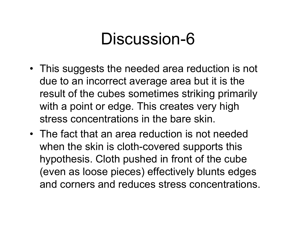- This suggests the needed area reduction is not due to an incorrect average area but it is the result of the cubes sometimes striking primarily with a point or edge. This creates very high stress concentrations in the bare skin.
- The fact that an area reduction is not needed when the skin is cloth-covered supports this hypothesis. Cloth pushed in front of the cube (even as loose pieces) effectively blunts edges and corners and reduces stress concentrations.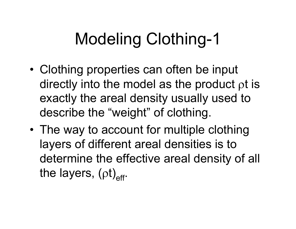# Modeling Clothing-1

- • Clothing properties can often be input directly into the model as the product ρt is exactly the areal density usually used to describe the "weight" of clothing.
- • The way to account for multiple clothing layers of different areal densities is to determine the effective areal density of all the layers, (ρt)<sub>eff</sub>.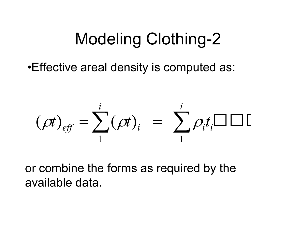## Modeling Clothing-2

•Effective areal density is computed as:

$$
(\rho t)_{\text{eff}} = \sum_{1}^{i} (\rho t)_{i} = \sum_{1}^{i} \rho_{i} t_{i} \Box \Box \Box
$$

or combine the forms as required by the available data.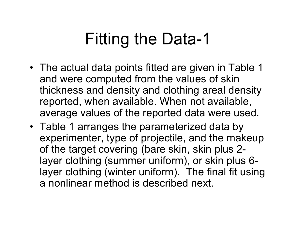## Fitting the Data-1

- The actual data points fitted are given in Table 1 and were computed from the values of skin thickness and density and clothing areal density reported, when available. When not available, average values of the reported data were used.
- Table 1 arranges the parameterized data by experimenter, type of projectile, and the makeup of the target covering (bare skin, skin plus 2 layer clothing (summer uniform), or skin plus 6 layer clothing (winter uniform). The final fit using a nonlinear method is described next.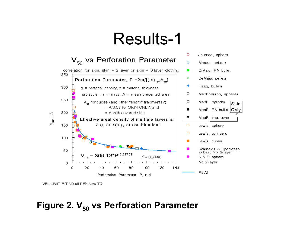## Results-1



VEL LIMIT FIT ND all PEN New TC

### **Figure 2. V<sub>50</sub> vs Perforation Parameter**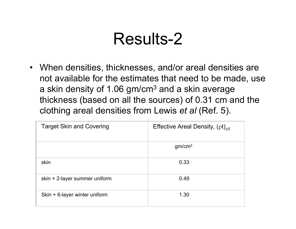## Results-2

• When densities, thicknesses, and/or areal densities are not available for the estimates that need to be made, use a skin density of 1.06  $gm/cm<sup>3</sup>$  and a skin average thickness (based on all the sources) of 0.31 cm and the clothing areal densities from Lewis *et al* (Ref. 5).

| <b>Target Skin and Covering</b> | Effective Areal Density, $(pt)_{eff}$ |
|---------------------------------|---------------------------------------|
|                                 | gm/cm <sup>2</sup>                    |
| skin                            | 0.33                                  |
| skin + 2-layer summer uniform   | 0.49                                  |
| Skin + 6-layer winter uniform   | 1.30                                  |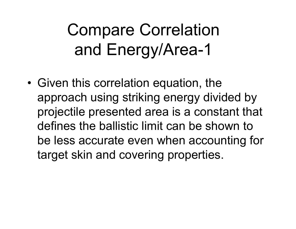## Compare Correlation and Energy/Area-1

• Given this correlation equation, the approach using striking energy divided by projectile presented area is a constant that defines the ballistic limit can be shown to be less accurate even when accounting for target skin and covering properties.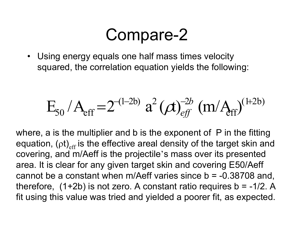### Compare-2

• Using energy equals one half mass times velocity squared, the correlation equation yields the following:

$$
E_{50} / A_{eff} = 2^{-(1-2b)} a^2 (\alpha)_{eff}^{-2b} (m/A_{ff})^{(1+2b)}
$$

where, a is the multiplier and b is the exponent of P in the fitting equation, ( $\mathsf{pt})_{\mathsf{eff}}$  is the effective areal density of the target skin and covering, and m/Aeff is the projectile's mass over its presented area. It is clear for any given target skin and covering E50/Aeff cannot be a constant when m/Aeff varies since  $b = -0.38708$  and, therefore,  $(1+2b)$  is not zero. A constant ratio requires  $b = -1/2$ . A fit using this value was tried and yielded a poorer fit, as expected.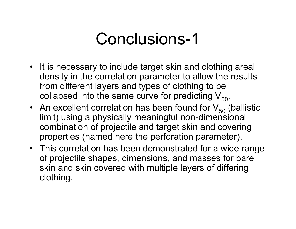## Conclusions-1

- It is necessary to include target skin and clothing areal density in the correlation parameter to allow the results from different layers and types of clothing to be collapsed into the same curve for predicting  $V_{50}$ .
- An excellent correlation has been found for  $\mathsf{V}_{50}$  (ballistic limit) using a physically meaningful non-dimensional combination of projectile and target skin and covering properties (named here the perforation parameter).
- This correlation has been demonstrated for a wide range of projectile shapes, dimensions, and masses for bare skin and skin covered with multiple layers of differing clothing.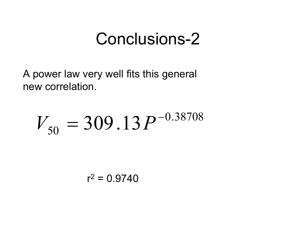## Conclusions-2

A power law very well fits this general new correlation.

#### 0.38708  $\zeta_0=309$  .  $13$   $P^-$ *V* = $= 309.13 P$

r2 = 0.9740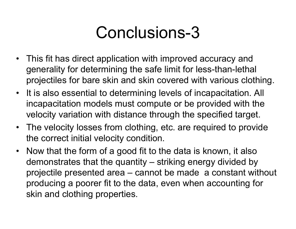## Conclusions-3

- This fit has direct application with improved accuracy and generality for determining the safe limit for less-than-lethal projectiles for bare skin and skin covered with various clothing.
- It is also essential to determining levels of incapacitation. All incapacitation models must compute or be provided with the velocity variation with distance through the specified target.
- The velocity losses from clothing, etc. are required to provide the correct initial velocity condition.
- Now that the form of a good fit to the data is known, it also demonstrates that the quantity – striking energy divided by projectile presented area – cannot be made a constant without producing a poorer fit to the data, even when accounting for skin and clothing properties.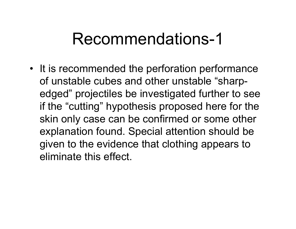## Recommendations-1

• It is recommended the perforation performance of unstable cubes and other unstable "sharpedged" projectiles be investigated further to see if the "cutting" hypothesis proposed here for the skin only case can be confirmed or some other explanation found. Special attention should be given to the evidence that clothing appears to eliminate this effect.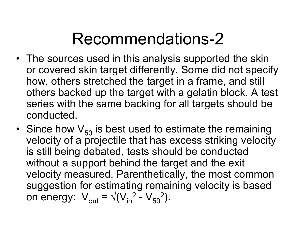## Recommendations-2

- The sources used in this analysis supported the skin or covered skin target differently. Some did not specify how, others stretched the target in a frame, and still others backed up the target with a gelatin block. A test series with the same backing for all targets should be conducted.
- Since how  $\mathsf{V}_{50}$  is best used to estimate the remaining velocity of a projectile that has excess striking velocity is still being debated, tests should be conducted without a support behind the target and the exit velocity measured. Parenthetically, the most common suggestion for estimating remaining velocity is based on energy:  $V_{\text{out}} = \sqrt{(V_{\text{in}}^2 - V_{\text{out}}^2)^2}$  $\rm V_{50}^{\phantom 2}$ ).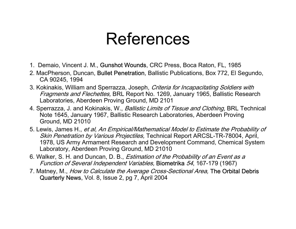## References

- 1. Demaio, Vincent J. M., Gunshot Wounds, CRC Press, Boca Raton, FL, 1985
- 2. MacPherson, Duncan, Bullet Penetration, Ballistic Publications, Box 772, El Segundo, CA 90245, 1994
- 3. Kokinakis, William and Sperrazza, Joseph, Criteria for Incapacitating Soldiers with Fragments and Flechettes, BRL Report No. 1269, January 1965, Ballistic Research Laboratories, Aberdeen Proving Ground, MD 2101
- 4. Sperrazza, J. and Kokinakis, W., *Ballistic Limits of Tissue and Clothing*, BRL Technical Note 1645, January 1967, Ballistic Research Laboratories, Aberdeen Proving Ground, MD 21010
- 5. Lewis, James H., et al, An Empirical/Mathematical Model to Estimate the Probability of Skin Penetration by Various Projectiles, Technical Report ARCSL-TR-78004, April, 1978, US Army Armament Research and Development Command, Chemical System Laboratory, Aberdeen Proving Ground, MD 21010
- 6. Walker, S. H. and Duncan, D. B., Estimation of the Probability of an Event as a Function of Several Independent Variables, Biometrika 54, 167-179 (1967)
- 7. Matney, M., How to Calculate the Average Cross-Sectional Area, The Orbital Debris Quarterly News, Vol. 8, Issue 2, pg 7, April 2004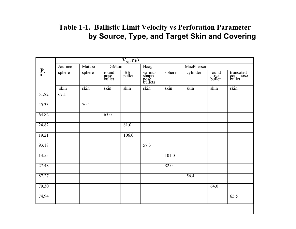### **Table 1-1. Ballistic Limit Velocity vs Perforation Parameter by Source, Type, and Target Skin and Covering**

|                    | $V_{50}$ , m/s |        |                         |              |                                      |        |            |                         |                                  |  |
|--------------------|----------------|--------|-------------------------|--------------|--------------------------------------|--------|------------|-------------------------|----------------------------------|--|
|                    | Journee        | Mattoo | <b>DiMaio</b>           |              | Haag                                 |        | MacPherson |                         |                                  |  |
| $\mathbf{P}_{n-d}$ | sphere         | sphere | round<br>nose<br>bullet | BB<br>pellet | various<br>shaped<br>nose<br>bullets | sphere | cylinder   | round<br>nose<br>bullet | truncated<br>cone nose<br>bullet |  |
|                    | skin           | skin   | skin                    | skin         | skin                                 | skin   | skin       | skin                    | skin                             |  |
| 51.82              | 67.1           |        |                         |              |                                      |        |            |                         |                                  |  |
| 45.33              |                | 70.1   |                         |              |                                      |        |            |                         |                                  |  |
| 64.82              |                |        | 65.0                    |              |                                      |        |            |                         |                                  |  |
| 24.82              |                |        |                         | 81.0         |                                      |        |            |                         |                                  |  |
| 19.21              |                |        |                         | 106.0        |                                      |        |            |                         |                                  |  |
| 93.18              |                |        |                         |              | 57.3                                 |        |            |                         |                                  |  |
| 13.55              |                |        |                         |              |                                      | 101.0  |            |                         |                                  |  |
| 27.48              |                |        |                         |              |                                      | 82.0   |            |                         |                                  |  |
| 87.27              |                |        |                         |              |                                      |        | 56.4       |                         |                                  |  |
| 79.30              |                |        |                         |              |                                      |        |            | 64.0                    |                                  |  |
| 74.94              |                |        |                         |              |                                      |        |            |                         | 65.5                             |  |
|                    |                |        |                         |              |                                      |        |            |                         |                                  |  |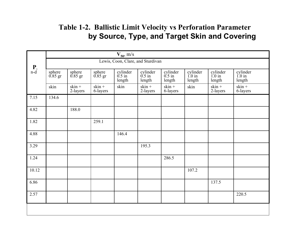### **Table 1-2. Ballistic Limit Velocity vs Perforation Parameter by Source, Type, and Target Skin and Covering**

|                               | $V_{50}$ , m/s    |                                   |                      |                                |                                |                                |                                        |                                        |                             |  |  |  |  |
|-------------------------------|-------------------|-----------------------------------|----------------------|--------------------------------|--------------------------------|--------------------------------|----------------------------------------|----------------------------------------|-----------------------------|--|--|--|--|
| $\underset{n-d}{\mathbf{P}},$ |                   | Lewis, Coon, Clare, and Sturdivan |                      |                                |                                |                                |                                        |                                        |                             |  |  |  |  |
|                               | sphere<br>0.85 gr | sphere $0.85$ gr                  | sphere<br>0.85 gr    | cylinder<br>$0.5$ in<br>length | cylinder<br>$0.5$ in<br>length | cylinder<br>$0.5$ in<br>length | cylinder<br>$1.0 \text{ in}$<br>length | cylinder<br>$1.0 \text{ in}$<br>length | cylinder $1.0$ in<br>length |  |  |  |  |
|                               | skin              | $skin +$<br>2-layers              | $skin +$<br>6-layers | skin                           | $skin +$<br>2-layers           | $skin +$<br>6-layers           | skin                                   | $skin +$<br>2-layers                   | $skin +$<br>6-layers        |  |  |  |  |
| 7.15                          | 134.6             |                                   |                      |                                |                                |                                |                                        |                                        |                             |  |  |  |  |
| 4.82                          |                   | 188.0                             |                      |                                |                                |                                |                                        |                                        |                             |  |  |  |  |
| 1.82                          |                   |                                   | 259.1                |                                |                                |                                |                                        |                                        |                             |  |  |  |  |
| 4.88                          |                   |                                   |                      | 146.4                          |                                |                                |                                        |                                        |                             |  |  |  |  |
| 3.29                          |                   |                                   |                      |                                | 195.3                          |                                |                                        |                                        |                             |  |  |  |  |
| 1.24                          |                   |                                   |                      |                                |                                | 286.5                          |                                        |                                        |                             |  |  |  |  |
| 10.12                         |                   |                                   |                      |                                |                                |                                | 107.2                                  |                                        |                             |  |  |  |  |
| 6.86                          |                   |                                   |                      |                                |                                |                                |                                        | 137.5                                  |                             |  |  |  |  |
| 2.57                          |                   |                                   |                      |                                |                                |                                |                                        |                                        | 220.5                       |  |  |  |  |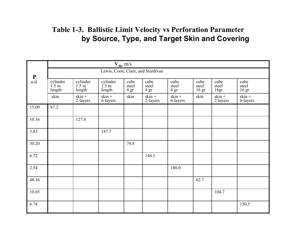### **Table 1-3. Ballistic Limit Velocity vs Perforation Parameter by Source, Type, and Target Skin and Covering**

|                               |                                        | $V_{50}$ , m/s                 |                                |                       |                       |                       |                                   |                       |                        |  |  |  |
|-------------------------------|----------------------------------------|--------------------------------|--------------------------------|-----------------------|-----------------------|-----------------------|-----------------------------------|-----------------------|------------------------|--|--|--|
|                               | Lewis, Coon, Clare, and Sturdivan      |                                |                                |                       |                       |                       |                                   |                       |                        |  |  |  |
| $\underset{n-d}{\mathbf{P}},$ | cylinder<br>$1.5 \text{ in}$<br>length | cylinder<br>$1.5$ in<br>length | cylinder<br>$1.5$ in<br>length | cube<br>steel<br>4 gr | cube<br>steel<br>4 gr | cube<br>steel<br>4 gr | cube<br>steel<br>16 <sub>gr</sub> | cube<br>steel<br>16gr | cube<br>steel<br>16 gr |  |  |  |
|                               | skin                                   | $skin +$<br>2-layers           | $skin +$<br>6-layers           | skin                  | $skin +$<br>2-layers  | $skin +$<br>6-layers  | skin                              | $skin +$<br>2-layers  | $skin +$<br>6-layers   |  |  |  |
| 15.09                         | 87.2                                   |                                |                                |                       |                       |                       |                                   |                       |                        |  |  |  |
| 10.16                         |                                        | 127.8                          |                                |                       |                       |                       |                                   |                       |                        |  |  |  |
| 3.83                          |                                        |                                | 187.7                          |                       |                       |                       |                                   |                       |                        |  |  |  |
| 30.20                         |                                        |                                |                                | 74.8                  |                       |                       |                                   |                       |                        |  |  |  |
| 6.72                          |                                        |                                |                                |                       | 148.1                 |                       |                                   |                       |                        |  |  |  |
| 2.54                          |                                        |                                |                                |                       |                       | 180.0                 |                                   |                       |                        |  |  |  |
| 48.16                         |                                        |                                |                                |                       |                       |                       | 62.7                              |                       |                        |  |  |  |
| 10.65                         |                                        |                                |                                |                       |                       |                       |                                   | 104.7                 |                        |  |  |  |
| 6.74                          |                                        |                                |                                |                       |                       |                       |                                   |                       | 150.5                  |  |  |  |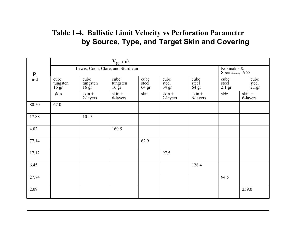### **Table 1-4. Ballistic Limit Velocity vs Perforation Parameter by Source, Type, and Target Skin and Covering**

|                    | $V_{50}$ , m/s                       |                                      |                                      |                        |                        |                        |                           |                        |  |  |  |
|--------------------|--------------------------------------|--------------------------------------|--------------------------------------|------------------------|------------------------|------------------------|---------------------------|------------------------|--|--|--|
|                    | Lewis, Coon, Clare, and Sturdivan    | Kokinakis &<br>Sperrazza, 1965       |                                      |                        |                        |                        |                           |                        |  |  |  |
| $\mathbf{P}_{n-d}$ | cube<br>tungsten<br>$16 \mathrm{gr}$ | cube<br>tungsten<br>$16 \mathrm{gr}$ | cube<br>tungsten<br>$16 \mathrm{gr}$ | cube<br>steel<br>64 gr | cube<br>steel<br>64 gr | cube<br>steel<br>64 gr | cube<br>steel<br>$2.1$ gr | cube<br>steel<br>2.1gr |  |  |  |
|                    | skin                                 | $skin +$<br>2-layers                 | $skin +$<br>6-layers                 | skin                   | $skin +$<br>2-layers   | $skin +$<br>6-layers   | skin                      | $skin +$<br>6-layers   |  |  |  |
| 80.50              | 67.0                                 |                                      |                                      |                        |                        |                        |                           |                        |  |  |  |
| 17.88              |                                      | 101.3                                |                                      |                        |                        |                        |                           |                        |  |  |  |
| 4.02               |                                      |                                      | 160.5                                |                        |                        |                        |                           |                        |  |  |  |
| 77.14              |                                      |                                      |                                      | 62.9                   |                        |                        |                           |                        |  |  |  |
| 17.12              |                                      |                                      |                                      |                        | 97.5                   |                        |                           |                        |  |  |  |
| 6.45               |                                      |                                      |                                      |                        |                        | 128.4                  |                           |                        |  |  |  |
| 27.74              |                                      |                                      |                                      |                        |                        |                        | 94.5                      |                        |  |  |  |
| 2.09               |                                      |                                      |                                      |                        |                        |                        |                           | 259.0                  |  |  |  |
|                    |                                      |                                      |                                      |                        |                        |                        |                           |                        |  |  |  |